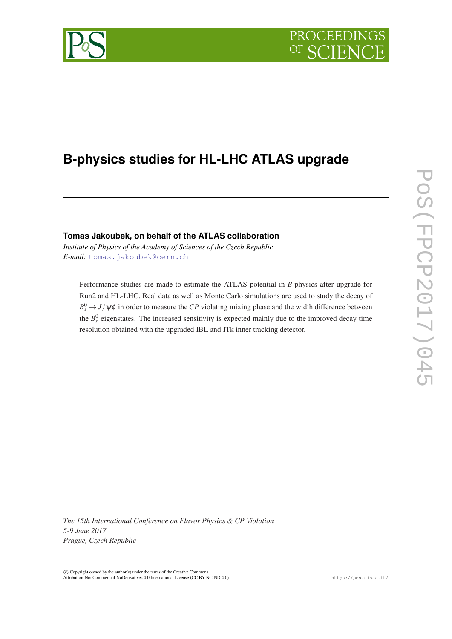# PROCEEDIN

## **B-physics studies for HL-LHC ATLAS upgrade**

### **Tomas Jakoubek, on behalf of the ATLAS collaboration**

*Institute of Physics of the Academy of Sciences of the Czech Republic E-mail:* [tomas.jakoubek@cern.ch](mailto:tomas.jakoubek@cern.ch)

Performance studies are made to estimate the ATLAS potential in *B*-physics after upgrade for Run2 and HL-LHC. Real data as well as Monte Carlo simulations are used to study the decay of  $B_s^0 \rightarrow J/\psi \phi$  in order to measure the *CP* violating mixing phase and the width difference between the  $B_s^0$  eigenstates. The increased sensitivity is expected mainly due to the improved decay time resolution obtained with the upgraded IBL and ITk inner tracking detector.

*The 15th International Conference on Flavor Physics & CP Violation 5-9 June 2017 Prague, Czech Republic*

 $\overline{c}$  Copyright owned by the author(s) under the terms of the Creative Common Attribution-NonCommercial-NoDerivatives 4.0 International License (CC BY-NC-ND 4.0). https://pos.sissa.it/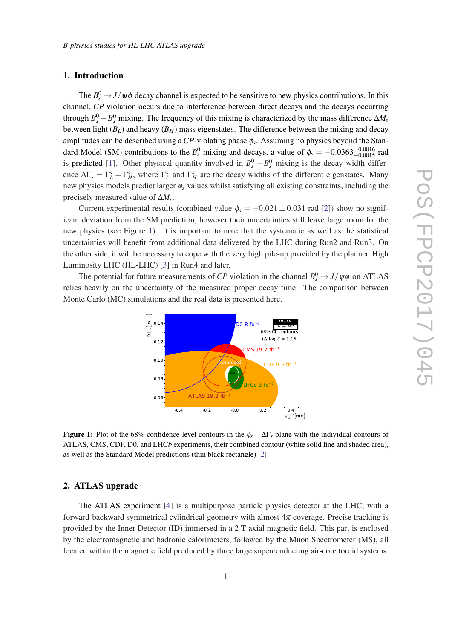#### 1. Introduction

The  $B_s^0 \rightarrow J/\psi \phi$  decay channel is expected to be sensitive to new physics contributions. In this channel, *CP* violation occurs due to interference between direct decays and the decays occurring through  $B_s^0 - \overline{B_s^0}$  mixing. The frequency of this mixing is characterized by the mass difference  $\Delta M_s$ between light  $(B_L)$  and heavy  $(B_H)$  mass eigenstates. The difference between the mixing and decay amplitudes can be described using a *CP*-violating phase φ*<sup>s</sup>* . Assuming no physics beyond the Standard Model (SM) contributions to the  $B_s^0$  mixing and decays, a value of  $\phi_s = -0.0363_{-0.0015}^{+0.0016}$  rad is predicted [[1](#page-4-0)]. Other physical quantity involved in  $B_s^0 - \overline{B_s^0}$  mixing is the decay width difference  $\Delta\Gamma_s = \Gamma_L^s - \Gamma_H^s$ , where  $\Gamma_L^s$  and  $\Gamma_H^s$  are the decay widths of the different eigenstates. Many new physics models predict larger φ*<sup>s</sup>* values whilst satisfying all existing constraints, including the precisely measured value of ∆*M<sup>s</sup>* .

Current experimental results (combined value  $\phi_s = -0.021 \pm 0.031$  $\phi_s = -0.021 \pm 0.031$  $\phi_s = -0.021 \pm 0.031$  rad [2]) show no significant deviation from the SM prediction, however their uncertainties still leave large room for the new physics (see Figure 1). It is important to note that the systematic as well as the statistical uncertainties will benefit from additional data delivered by the LHC during Run2 and Run3. On the other side, it will be necessary to cope with the very high pile-up provided by the planned High Luminosity LHC (HL-LHC) [[3\]](#page-4-0) in Run4 and later.

The potential for future measurements of *CP* violation in the channel  $B_s^0 \rightarrow J/\psi \phi$  on ATLAS relies heavily on the uncertainty of the measured proper decay time. The comparison between Monte Carlo (MC) simulations and the real data is presented here.



**Figure 1:** Plot of the 68% confidence-level contours in the  $\phi_s - \Delta\Gamma_s$  plane with the individual contours of ATLAS, CMS, CDF, D0, and LHC*b* experiments, their combined contour (white solid line and shaded area), as well as the Standard Model predictions (thin black rectangle) [\[2](#page-4-0)].

#### 2. ATLAS upgrade

The ATLAS experiment [\[4](#page-4-0)] is a multipurpose particle physics detector at the LHC, with a forward-backward symmetrical cylindrical geometry with almost  $4\pi$  coverage. Precise tracking is provided by the Inner Detector (ID) immersed in a 2 T axial magnetic field. This part is enclosed by the electromagnetic and hadronic calorimeters, followed by the Muon Spectrometer (MS), all located within the magnetic field produced by three large superconducting air-core toroid systems.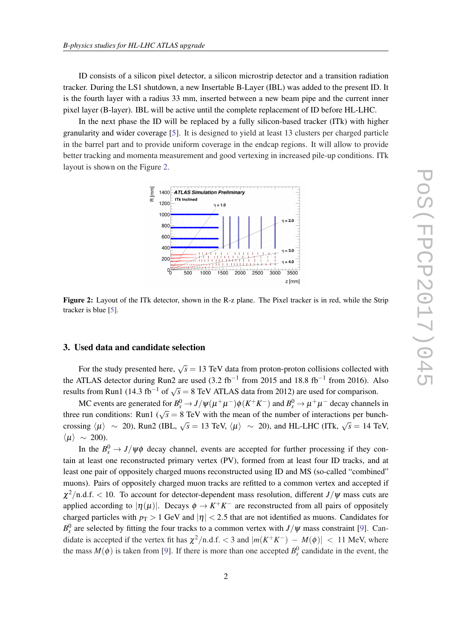ID consists of a silicon pixel detector, a silicon microstrip detector and a transition radiation tracker. During the LS1 shutdown, a new Insertable B-Layer (IBL) was added to the present ID. It is the fourth layer with a radius 33 mm, inserted between a new beam pipe and the current inner pixel layer (B-layer). IBL will be active until the complete replacement of ID before HL-LHC.

In the next phase the ID will be replaced by a fully silicon-based tracker (ITk) with higher granularity and wider coverage [[5](#page-4-0)]. It is designed to yield at least 13 clusters per charged particle in the barrel part and to provide uniform coverage in the endcap regions. It will allow to provide better tracking and momenta measurement and good vertexing in increased pile-up conditions. ITk layout is shown on the Figure 2.



Figure 2: Layout of the ITk detector, shown in the R-z plane. The Pixel tracker is in red, while the Strip tracker is blue [\[5](#page-4-0)].

#### 3. Used data and candidate selection

For the study presented here,  $\sqrt{s} = 13$  TeV data from proton-proton collisions collected with the ATLAS detector during Run2 are used  $(3.2 \text{ fb}^{-1}$  from 2015 and 18.8 fb<sup>-1</sup> from 2016). Also results from Run1 (14.3 fb<sup>-1</sup> of  $\sqrt{s} = 8$  TeV ATLAS data from 2012) are used for comparison.

MC events are generated for  $B_s^0 \to J/\psi(\mu^+\mu^-)\phi(K^+K^-)$  and  $B_s^0 \to \mu^+\mu^-$  decay channels in three run conditions: Run1 ( $\sqrt{s} = 8$  TeV with the mean of the number of interactions per bunchcrossing  $\langle \mu \rangle \sim 20$ ), Run2 (IBL,  $\sqrt{s} = 13$  TeV,  $\langle \mu \rangle \sim 20$ ), and HL-LHC (ITk,  $\sqrt{s} = 14$  TeV,  $\langle \mu \rangle \sim 200$ ).

In the  $B_s^0 \rightarrow J/\psi \phi$  decay channel, events are accepted for further processing if they contain at least one reconstructed primary vertex (PV), formed from at least four ID tracks, and at least one pair of oppositely charged muons reconstructed using ID and MS (so-called "combined" muons). Pairs of oppositely charged muon tracks are refitted to a common vertex and accepted if  $\chi^2$ /n.d.f. < 10. To account for detector-dependent mass resolution, different *J*/ $\psi$  mass cuts are applied according to  $|\eta(\mu)|$ . Decays  $\phi \to K^+K^-$  are reconstructed from all pairs of oppositely charged particles with  $p_T > 1$  GeV and  $|\eta| < 2.5$  that are not identified as muons. Candidates for  $B_s^0$  are selected by fitting the four tracks to a common vertex with *J*/ $\psi$  mass constraint [\[9\]](#page-5-0). Candidate is accepted if the vertex fit has  $\chi^2/n.d.f. < 3$  and  $|m(K^+K^-) - M(\phi)| < 11$  MeV, where the mass  $M(\phi)$  is taken from [\[9\]](#page-5-0). If there is more than one accepted  $B_s^0$  candidate in the event, the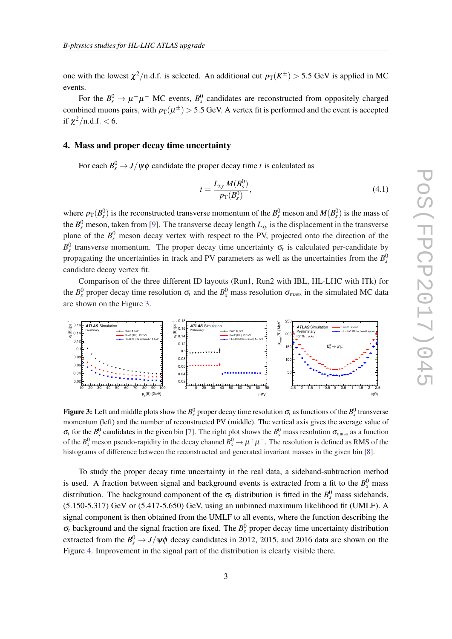<span id="page-3-0"></span>one with the lowest  $\chi^2$ /n.d.f. is selected. An additional cut  $p_T(K^{\pm}) > 5.5$  GeV is applied in MC events.

For the  $B_s^0 \to \mu^+\mu^-$  MC events,  $B_s^0$  candidates are reconstructed from oppositely charged combined muons pairs, with  $p_{\rm T}(\mu^\pm)$   $>$  5.5 GeV. A vertex fit is performed and the event is accepted if  $\chi^2$ /n.d.f. < 6.

#### 4. Mass and proper decay time uncertainty

For each  $B_s^0 \rightarrow J/\psi \phi$  candidate the proper decay time *t* is calculated as

$$
t = \frac{L_{xy} M(B_s^0)}{p_{\rm T}(B_s^0)},
$$
\n(4.1)

where  $p_T(B_s^0)$  is the reconstructed transverse momentum of the  $B_s^0$  meson and  $M(B_s^0)$  is the mass of the  $B_s^0$  meson, taken from [\[9\]](#page-5-0). The transverse decay length  $L_{xy}$  is the displacement in the transverse plane of the  $B_s^0$  meson decay vertex with respect to the PV, projected onto the direction of the  $B_s^0$  transverse momentum. The proper decay time uncertainty  $\sigma_t$  is calculated per-candidate by propagating the uncertainties in track and PV parameters as well as the uncertainties from the  $B_s^0$ candidate decay vertex fit.

Comparison of the three different ID layouts (Run1, Run2 with IBL, HL-LHC with ITk) for the  $B_s^0$  proper decay time resolution  $\sigma_t$  and the  $B_s^0$  mass resolution  $\sigma_{\text{mass}}$  in the simulated MC data are shown on the Figure 3.



Figure 3: Left and middle plots show the  $B_s^0$  proper decay time resolution  $\sigma_t$  as functions of the  $B_s^0$  transverse momentum (left) and the number of reconstructed PV (middle). The vertical axis gives the average value of  $\sigma_t$  for the  $B_s^0$  candidates in the given bin [[7\]](#page-5-0). The right plot shows the  $B_s^0$  mass resolution  $\sigma_{\text{mass}}$  as a function of the  $B_s^0$  meson pseudo-rapidity in the decay channel  $B_s^0 \to \mu^+\mu^-$ . The resolution is defined as RMS of the histograms of difference between the reconstructed and generated invariant masses in the given bin [\[8](#page-5-0)].

To study the proper decay time uncertainty in the real data, a sideband-subtraction method is used. A fraction between signal and background events is extracted from a fit to the  $B<sub>s</sub><sup>0</sup>$  mass distribution. The background component of the  $\sigma_t$  distribution is fitted in the  $B_s^0$  mass sidebands, (5.150-5.317) GeV or (5.417-5.650) GeV, using an unbinned maximum likelihood fit (UMLF). A signal component is then obtained from the UMLF to all events, where the function describing the  $\sigma_t$  background and the signal fraction are fixed. The  $B_s^0$  proper decay time uncertainty distribution extracted from the  $B_s^0 \rightarrow J/\psi \phi$  decay candidates in 2012, 2015, and 2016 data are shown on the Figure [4](#page-4-0). Improvement in the signal part of the distribution is clearly visible there.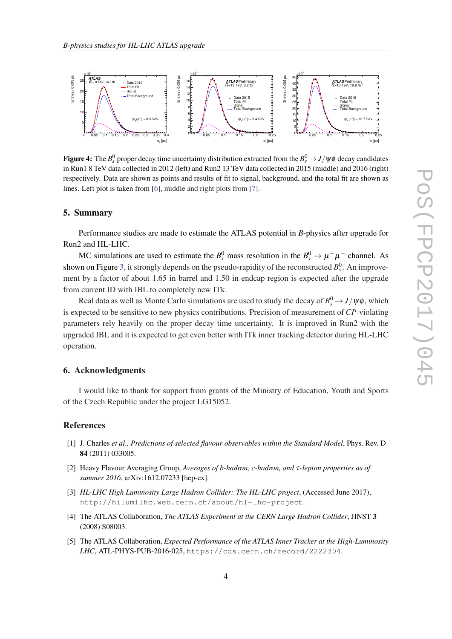<span id="page-4-0"></span>

Figure 4: The  $B_s^0$  proper decay time uncertainty distribution extracted from the  $B_s^0\to J/\psi\phi$  decay candidates in Run1 8 TeV data collected in 2012 (left) and Run2 13 TeV data collected in 2015 (middle) and 2016 (right) respectively. Data are shown as points and results of fit to signal, background, and the total fit are shown as lines. Left plot is taken from [\[6](#page-5-0)], middle and right plots from [[7\]](#page-5-0).

#### 5. Summary

Performance studies are made to estimate the ATLAS potential in *B*-physics after upgrade for Run2 and HL-LHC.

MC simulations are used to estimate the  $B_s^0$  mass resolution in the  $B_s^0 \to \mu^+\mu^-$  channel. As shown on Figure [3](#page-3-0), it strongly depends on the pseudo-rapidity of the reconstructed  $B_s^0$ . An improvement by a factor of about 1.65 in barrel and 1.50 in endcap region is expected after the upgrade from current ID with IBL to completely new ITk.

Real data as well as Monte Carlo simulations are used to study the decay of  $B_s^0 \rightarrow J/\psi \phi$ , which is expected to be sensitive to new physics contributions. Precision of measurement of *CP*-violating parameters rely heavily on the proper decay time uncertainty. It is improved in Run2 with the upgraded IBL and it is expected to get even better with ITk inner tracking detector during HL-LHC operation.

#### 6. Acknowledgments

I would like to thank for support from grants of the Ministry of Education, Youth and Sports of the Czech Republic under the project LG15052.

#### References

- [1] J. Charles *et al*., *Predictions of selected flavour observables within the Standard Model*, Phys. Rev. D 84 (2011) 033005.
- [2] Heavy Flavour Averaging Group, *Averages of b-hadron, c-hadron, and* τ*-lepton properties as of summer 2016*, arXiv:1612.07233 [hep-ex].
- [3] *HL-LHC High Luminosity Large Hadron Collider: The HL-LHC project*, (Accessed June 2017), http://hilumilhc.web.cern.ch/about/hl-lhc-project.
- [4] The ATLAS Collaboration, *The ATLAS Experiment at the CERN Large Hadron Collider*, JINST 3 (2008) S08003.
- [5] The ATLAS Collaboration, *Expected Performance of the ATLAS Inner Tracker at the High-Luminosity LHC*, ATL-PHYS-PUB-2016-025, https://cds.cern.ch/record/2222304.